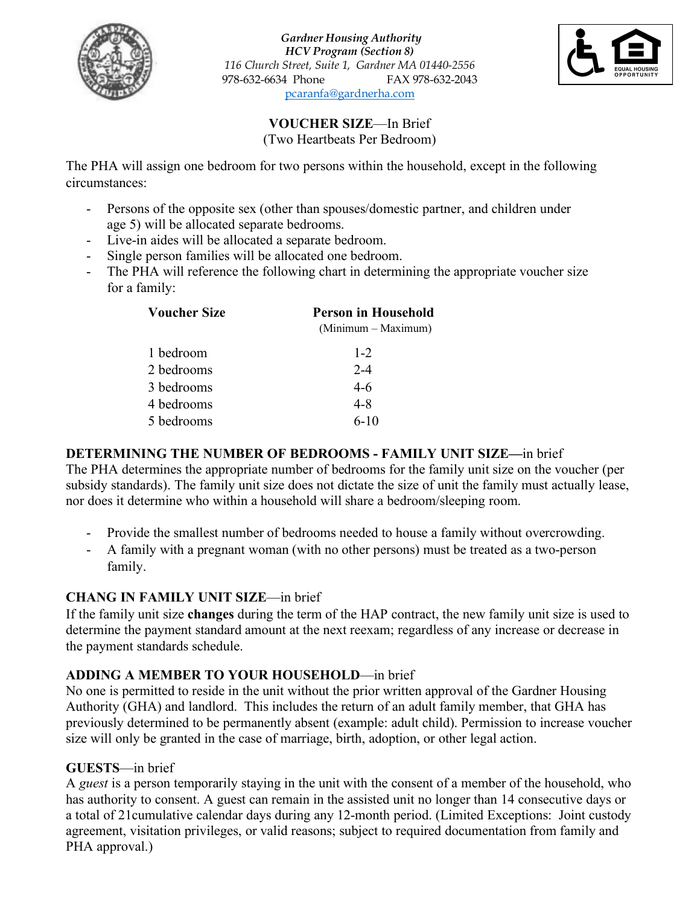

*Gardner Housing Authority HCV Program (Section 8) 116 Church Street, Suite 1, Gardner MA 01440-2556*  978-632-6634 Phone FAX 978-632-2043 [pcaranfa@gardnerha.com](mailto:pcaranfa@gardnerha.com) 



#### **VOUCHER SIZE**—In Brief (Two Heartbeats Per Bedroom)

The PHA will assign one bedroom for two persons within the household, except in the following circumstances:

- Persons of the opposite sex (other than spouses/domestic partner, and children under age 5) will be allocated separate bedrooms.
- Live-in aides will be allocated a separate bedroom.
- Single person families will be allocated one bedroom.
- The PHA will reference the following chart in determining the appropriate voucher size for a family:

| <b>Voucher Size</b> | <b>Person in Household</b><br>(Minimum – Maximum) |
|---------------------|---------------------------------------------------|
| 1 bedroom           | $1 - 2$                                           |
| 2 bedrooms          | $2 - 4$                                           |
| 3 bedrooms          | 4-6                                               |
| 4 bedrooms          | 4-8                                               |
| 5 bedrooms          | $6-10$                                            |
|                     |                                                   |

### **DETERMINING THE NUMBER OF BEDROOMS - FAMILY UNIT SIZE—**in brief

The PHA determines the appropriate number of bedrooms for the family unit size on the voucher (per subsidy standards). The family unit size does not dictate the size of unit the family must actually lease, nor does it determine who within a household will share a bedroom/sleeping room.

- Provide the smallest number of bedrooms needed to house a family without overcrowding.
- A family with a pregnant woman (with no other persons) must be treated as a two-person family.

### **CHANG IN FAMILY UNIT SIZE**—in brief

If the family unit size **changes** during the term of the HAP contract, the new family unit size is used to determine the payment standard amount at the next reexam; regardless of any increase or decrease in the payment standards schedule.

### **ADDING A MEMBER TO YOUR HOUSEHOLD**—in brief

No one is permitted to reside in the unit without the prior written approval of the Gardner Housing Authority (GHA) and landlord. This includes the return of an adult family member, that GHA has previously determined to be permanently absent (example: adult child). Permission to increase voucher size will only be granted in the case of marriage, birth, adoption, or other legal action.

### **GUESTS**—in brief

A *guest* is a person temporarily staying in the unit with the consent of a member of the household, who has authority to consent. A guest can remain in the assisted unit no longer than 14 consecutive days or a total of 21cumulative calendar days during any 12-month period. (Limited Exceptions: Joint custody agreement, visitation privileges, or valid reasons; subject to required documentation from family and PHA approval.)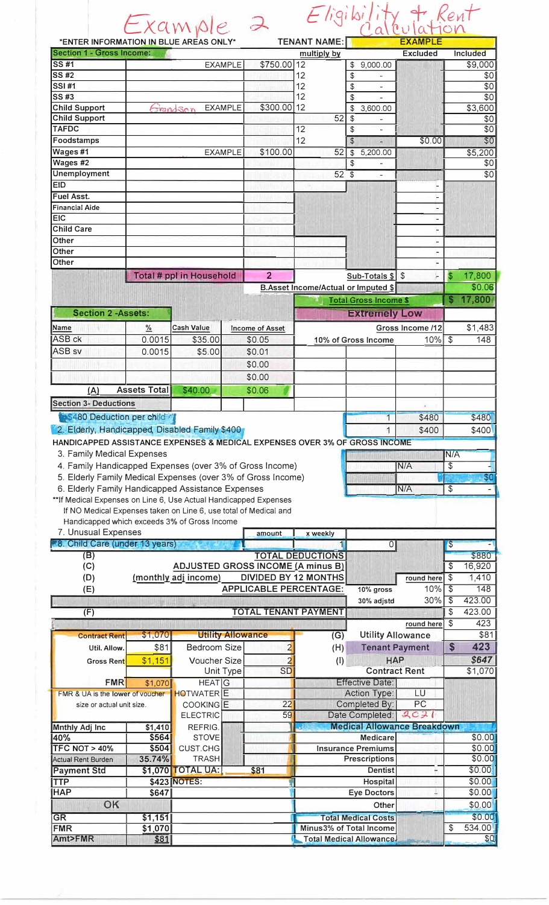|                                                                                                                          |                     | Example 2                       |                |                          | Eligibi                                                      |                                                   |                          |                               |                  |
|--------------------------------------------------------------------------------------------------------------------------|---------------------|---------------------------------|----------------|--------------------------|--------------------------------------------------------------|---------------------------------------------------|--------------------------|-------------------------------|------------------|
| *ENTER INFORMATION IN BLUE AREAS ONLY*                                                                                   |                     |                                 |                |                          | <b>TENANT NAME:</b>                                          |                                                   | <b>EXAMPL</b>            |                               |                  |
| <b>Section 1 - Gross Income:</b>                                                                                         |                     |                                 |                |                          | multiply by                                                  |                                                   | <b>Excluded</b>          |                               | Included         |
| <b>SS#1</b>                                                                                                              |                     |                                 | <b>EXAMPLE</b> | \$750.00                 | 12                                                           | \$<br>9,000.00                                    |                          |                               | \$9,000          |
| SS #2                                                                                                                    |                     |                                 |                |                          | 12                                                           | $\frac{1}{2}$                                     |                          |                               | \$0              |
| <b>SSI#1</b>                                                                                                             |                     |                                 |                |                          | 12                                                           | \$<br>ä,                                          |                          |                               | \$0              |
| SS #3                                                                                                                    |                     |                                 |                |                          | 12                                                           | \$                                                |                          |                               | $\overline{50}$  |
| <b>Child Support</b><br><b>Child Support</b>                                                                             |                     | Grandson                        | <b>EXAMPLE</b> | \$300.00                 | 12<br>52                                                     | \$<br>3,600.00<br>\$                              |                          |                               | \$3,600<br>\$0   |
| <b>TAFDC</b>                                                                                                             |                     |                                 |                |                          | 12                                                           | \$                                                |                          |                               | $\overline{50}$  |
| Foodstamps                                                                                                               |                     |                                 |                |                          | 12                                                           | $\sqrt{2}$                                        | \$0.00                   |                               | $\overline{50}$  |
| Wages #1                                                                                                                 |                     |                                 | <b>EXAMPLE</b> | \$100.00                 | 52                                                           | $\frac{1}{2}$<br>5,200.00                         |                          |                               | \$5,200          |
| Wages #2                                                                                                                 |                     |                                 |                |                          |                                                              | \$                                                |                          |                               | \$0              |
| <b>Unemployment</b>                                                                                                      |                     |                                 |                |                          | $52^{\circ}$                                                 | $\sqrt{2}$                                        |                          |                               | $\overline{50}$  |
| <b>EID</b>                                                                                                               |                     |                                 |                |                          |                                                              |                                                   | $\overline{\phantom{a}}$ |                               |                  |
| <b>Fuel Asst.</b>                                                                                                        |                     |                                 |                |                          |                                                              |                                                   |                          |                               |                  |
| <b>Financial Aide</b><br><b>EIC</b>                                                                                      |                     |                                 |                |                          |                                                              |                                                   |                          |                               |                  |
| <b>Child Care</b>                                                                                                        |                     |                                 |                |                          |                                                              |                                                   |                          |                               |                  |
| Other                                                                                                                    |                     |                                 |                |                          |                                                              |                                                   | $\blacksquare$           |                               |                  |
| Other                                                                                                                    |                     |                                 |                |                          |                                                              |                                                   | $\blacksquare$           |                               |                  |
| Other                                                                                                                    |                     |                                 |                |                          |                                                              |                                                   |                          |                               |                  |
|                                                                                                                          |                     | Total # ppl in Household        |                | $\overline{2}$           |                                                              | Sub-Totals $$ $ \$                                |                          | \$                            | 17,800           |
|                                                                                                                          |                     |                                 |                |                          | <b>B.Asset Income/Actual or Imputed \$</b>                   |                                                   |                          |                               | \$0.06           |
|                                                                                                                          |                     |                                 |                |                          |                                                              | <b>Total Gross Income \$</b>                      |                          | $\boldsymbol{s}$              | 17,800           |
| <b>Section 2 -Assets:</b>                                                                                                |                     |                                 |                |                          |                                                              | <b>Extremely Low</b>                              |                          |                               |                  |
| Name                                                                                                                     | $\frac{9}{6}$       | <b>Cash Value</b>               |                | Income of Asset          |                                                              |                                                   | Gross Income /12         |                               | \$1,483          |
| ASB ck                                                                                                                   | 0.0015              | \$35.00                         |                | \$0.05                   |                                                              | 10% of Gross Income                               | 10%                      | \$                            | 148              |
| ASB <sub>sv</sub>                                                                                                        | 0.0015              | \$5.00                          |                | \$0.01                   |                                                              |                                                   |                          |                               |                  |
|                                                                                                                          |                     |                                 |                | \$0.00                   |                                                              |                                                   |                          |                               |                  |
|                                                                                                                          |                     |                                 |                | \$0.00                   |                                                              |                                                   |                          |                               |                  |
|                                                                                                                          | <b>Assets Total</b> |                                 |                |                          |                                                              |                                                   |                          |                               |                  |
| (A)                                                                                                                      |                     | \$40.00                         |                | \$0.06                   |                                                              |                                                   |                          |                               |                  |
| <b>Section 3- Deductions</b>                                                                                             |                     |                                 |                |                          |                                                              |                                                   |                          |                               |                  |
| <b>18480 Deduction per child</b>                                                                                         |                     |                                 |                |                          |                                                              | 1                                                 | \$480                    |                               | \$480            |
| 2. Elderly, Handicapped, Disabled Family \$400                                                                           |                     |                                 |                |                          |                                                              | 1                                                 | \$400                    |                               | \$400            |
| HANDICAPPED ASSISTANCE EXPENSES & MEDICAL EXPENSES OVER 3% OF GROSS INCOME                                               |                     |                                 |                |                          |                                                              |                                                   |                          |                               |                  |
| 3. Family Medical Expenses                                                                                               |                     |                                 |                |                          |                                                              |                                                   |                          | N/A                           |                  |
| 4. Family Handicapped Expenses (over 3% of Gross Income)<br>5. Elderly Family Medical Expenses (over 3% of Gross Income) |                     |                                 |                |                          |                                                              |                                                   | N/A                      | \$                            | \$0              |
| 6. Elderly Family Handicapped Assistance Expenses                                                                        |                     |                                 |                |                          |                                                              |                                                   | N/A                      | $\boldsymbol{\theta}$         |                  |
| ** If Medical Expenses on Line 6, Use Actual Handicapped Expenses                                                        |                     |                                 |                |                          |                                                              |                                                   |                          |                               |                  |
| If NO Medical Expenses taken on Line 6, use total of Medical and                                                         |                     |                                 |                |                          |                                                              |                                                   |                          |                               |                  |
| Handicapped which exceeds 3% of Gross Income                                                                             |                     |                                 |                |                          |                                                              |                                                   |                          |                               |                  |
| 7. Unusual Expenses                                                                                                      |                     |                                 |                | amount.                  | x weekly                                                     |                                                   |                          |                               |                  |
| 8. Child Care (under 13 years)                                                                                           |                     |                                 |                |                          |                                                              | 0                                                 |                          | $\boldsymbol{\theta}$         |                  |
| (B)                                                                                                                      |                     |                                 |                |                          | <b>TOTAL DEDUCTIONS</b>                                      |                                                   |                          |                               | \$880            |
| (C)                                                                                                                      |                     |                                 |                |                          | <b>ADJUSTED GROSS INCOME (A minus B)</b>                     |                                                   |                          | \$                            | 16,920           |
| (D)                                                                                                                      |                     | (monthly adj income)            |                |                          | <b>DIVIDED BY 12 MONTHS</b><br><b>APPLICABLE PERCENTAGE:</b> |                                                   | round here<br>10%        | \$<br>$\sqrt[6]{\frac{1}{2}}$ | 1,410<br>148     |
| (E)                                                                                                                      |                     |                                 |                |                          |                                                              | 10% gross<br>30% adjstd                           | 30%                      | \$                            | 423.00           |
| (F)                                                                                                                      |                     |                                 |                |                          | <b>TOTAL TENANT PAYMENT</b>                                  |                                                   |                          | \$                            | 423.00           |
|                                                                                                                          |                     |                                 |                |                          |                                                              |                                                   | round here               | \$                            | 423              |
| <b>Contract Rent</b>                                                                                                     | \$1,070             |                                 |                | <b>Utility Allowance</b> | (G)                                                          | <b>Utility Allowance</b>                          |                          |                               | \$81             |
| Util. Allow.                                                                                                             | \$81                | Bedroom Size                    |                | 2                        | (H)                                                          |                                                   | <b>Tenant Payment</b>    | \$                            | 423              |
| <b>Gross Rent</b>                                                                                                        | \$1,151             | Voucher Size                    |                |                          | (1)                                                          | <b>HAP</b>                                        |                          |                               | \$647            |
|                                                                                                                          |                     |                                 | Unit Type      | <b>SD</b>                |                                                              |                                                   | <b>Contract Rent</b>     |                               | \$1,070          |
| <b>FMR</b>                                                                                                               | \$1,070             | <b>HEAT</b> <sub>G</sub>        |                |                          |                                                              | <b>Effective Date:</b>                            |                          |                               |                  |
| FMR & UA is the lower of voucher                                                                                         |                     | HOTWATER E                      |                |                          |                                                              | Action Type:                                      | LU                       |                               |                  |
| size or actual unit size.                                                                                                |                     | COOKING E                       |                | 22                       |                                                              | Completed By:                                     | PC                       |                               |                  |
|                                                                                                                          |                     | <b>ELECTRIC</b>                 |                | 59                       |                                                              | Date Completed:                                   | 2021                     |                               |                  |
| Mnthly Adj Inc                                                                                                           | \$1,410             | REFRIG.                         |                |                          |                                                              | <b>Medical Allowance Breakdown</b>                |                          |                               |                  |
| 40%<br><b>TFC NOT &gt; 40%</b>                                                                                           | \$564               | STOVE                           |                |                          |                                                              | <b>Medicare</b>                                   |                          |                               | \$0.00<br>\$0.00 |
| <b>Actual Rent Burden</b>                                                                                                | \$504]<br>35.74%    | <b>CUST.CHG</b><br><b>TRASH</b> |                |                          |                                                              | <b>Insurance Premiums</b><br><b>Prescriptions</b> |                          |                               | \$0.00           |
| <b>Payment Std</b>                                                                                                       |                     | \$1,070 TOTAL UA:               |                | \$81                     |                                                              | <b>Dentist</b>                                    |                          |                               | \$0.00           |
| <b>TTP</b>                                                                                                               |                     | <b>\$423 NOTES:</b>             |                |                          |                                                              | Hospital                                          |                          |                               | \$0.00           |
| <b>HAP</b>                                                                                                               | \$647               |                                 |                |                          |                                                              | <b>Eye Doctors</b>                                | ÷                        |                               | \$0.00           |
| OK                                                                                                                       |                     |                                 |                |                          |                                                              | Other                                             |                          |                               | \$0.00           |
| <b>GR</b>                                                                                                                | \$1,151             |                                 |                |                          |                                                              | <b>Total Medical Costs</b>                        |                          |                               | \$0.00           |
| <b>FMR</b>                                                                                                               | \$1,070             |                                 |                |                          |                                                              | Minus3% of Total Income                           |                          | \$                            | 534.00           |
| Amt>FMR                                                                                                                  | \$81                |                                 |                |                          |                                                              | <b>Total Medical Allowance</b>                    |                          |                               | \$Q              |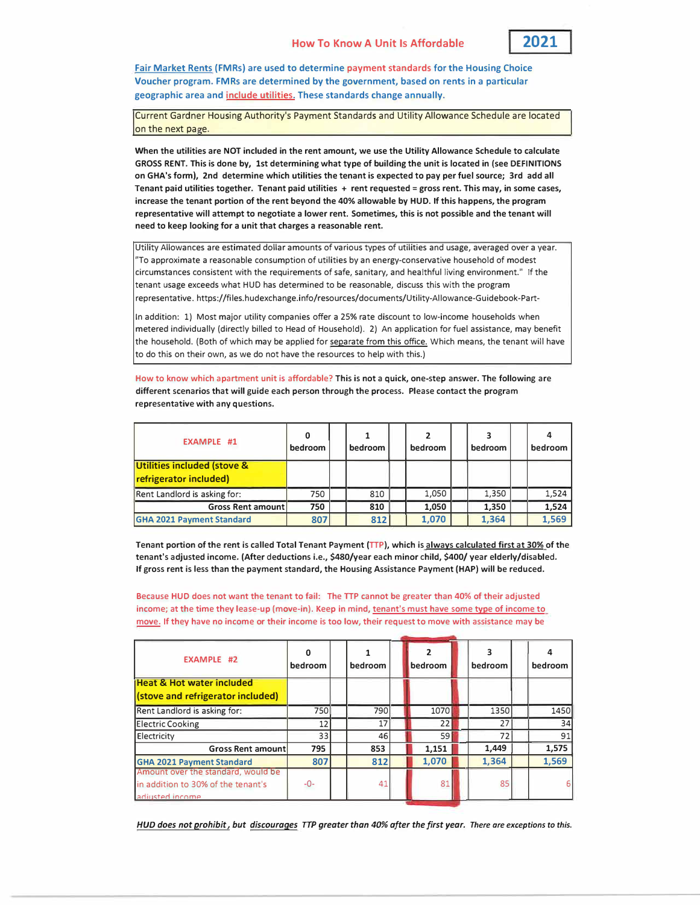#### **How To Know A Unit Is Affordable**



Fair Market Rents (FMRs) are used to determine payment standards for the Housing Choice Voucher program. FMRs are determined by the government, based on rents in a particular geographic area and include utilities. These standards change annually.

Current Gardner Housing Authority's Payment Standards and Utility Allowance Schedule are located on the next page.

**When the utilities are NOT included in the rent amount, we use the Utility Allowance Schedule to calculate GROSS RENT. This is done by, 1st determining what type of building the unit is located in (see DEFINITIONS on GHA's form), 2nd determine which utilities the tenant is expected to pay per fuel source; 3rd add all Tenant paid utilities together. Tenant paid utilities + rent requested= gross rent. This may, in some cases, increase the tenant portion of the rent beyond the 40% allowable by HUD. If this happens, the program representative will attempt to negotiate a lower rent. Sometimes, this is not possible and the tenant will need to keep looking for a unit that charges a reasonable rent.** 

Utility Allowances are estimated dollar amounts of various types of utilities and usage, averaged over a year. "To approximate a reasonable consumption of utilities by an energy-conservative household of modest circumstances consistent with the requirements of safe, sanitary, and healthful living environment." If the tenant usage exceeds what HUD has determined to be reasonable, discuss this with the program representative. https://files.hudexchange.info/resources/documents/Utility-Allowance-Guidebook-Part-

In addition: 1) Most major utility companies offer a 25% rate discount to low-income households when metered individually (directly billed to Head of Household). 2) An application for fuel assistance, may benefit the household. (Both of which may be applied for separate from this office. Which means, the tenant will have to do this on their own, as we do not have the resources to help with this.)

How to know which apartment unit is affordable? This is not a quick, one-step answer. The following are different scenarios that will guide each person through the process. Please contact the program representative with any questions.

| <b>EXAMPLE #1</b>                                     | bedroom | bedroom | bedroom | bedroom | bedroom |
|-------------------------------------------------------|---------|---------|---------|---------|---------|
| Utilities included (stove &<br>refrigerator included) |         |         |         |         |         |
| Rent Landlord is asking for:                          | 750     | 810     | 1,050   | 1,350   | 1,524   |
| Gross Rent amount                                     | 750     | 810     | 1,050   | 1,350   | 1,524   |
| <b>GHA 2021 Payment Standard</b>                      | 807     | 812     | 1.070   | 1.364   | 1,569   |

Tenant portion of the rent is called Total Tenant Payment (TTP), which is always calculated first at 30% of the tenant's adjusted income. (After deductions i.e., \$480/year each minor child, \$400/ year elderly/disabled. If gross rent is less than the payment standard, the Housing Assistance Payment (HAP) will be reduced.

Because HUD does not want the tenant to fail: The TTP cannot be greater than 40% of their adjusted income; at the time they lease-up (move-in). Keep in mind, tenant's must have some type of income to move. If they have no income or their income is too low, their request to move with assistance may be

| <b>EXAMPLE #2</b>                    | bedroom | bedroom | bedroom | bedroom | bedroom |
|--------------------------------------|---------|---------|---------|---------|---------|
| <b>Heat &amp; Hot water included</b> |         |         |         |         |         |
| (stove and refrigerator included)    |         |         |         |         |         |
| Rent Landlord is asking for:         | 750     | 790     | 1070    | 1350    | 1450    |
| <b>Electric Cooking</b>              | 12      | 17      | 22      | 27      | 34      |
| Electricity                          | 33      | 46      | 59      | 72      | 91      |
| <b>Gross Rent amount</b>             | 795     | 853     | 1.151   | 1,449   | 1,575   |
| <b>GHA 2021 Payment Standard</b>     | 807     | 812     | 1.070   | 1.364   | 1,569   |
| Amount over the standard, would be   |         |         |         |         |         |
| in addition to 30% of the tenant's   | -0-     | 41      | 81      | 85      | 6       |
| adjusted income                      |         |         |         |         |         |

*HUD does not prohibit, but discourages TTP greater than 40% after the first year. There are exceptions to this.*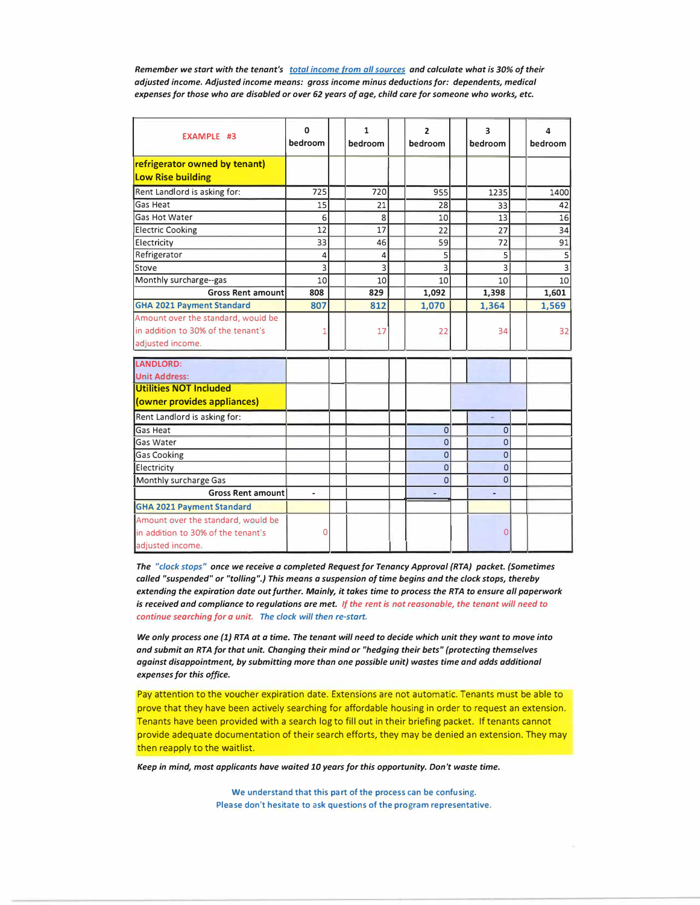*Remember we start with the tenant's total income from all sources and calculate what is 30% of their adjusted income. Adjusted income means: gross income minus deductions for: dependents, medical expenses for those who are disabled or over 62 years of age, child care for someone who works, etc.* 

| <b>EXAMPLE #3</b>                                         | ŋ<br>bedroom | 1<br>bedroom | $\overline{ }$<br>bedroom | 3<br>bedroom   | Δ<br>bedroom            |
|-----------------------------------------------------------|--------------|--------------|---------------------------|----------------|-------------------------|
| refrigerator owned by tenant)<br><b>Low Rise building</b> |              |              |                           |                |                         |
| Rent Landlord is asking for:                              | 725          | 720          | 955                       | 1235           | 1400                    |
| Gas Heat                                                  | 15           | 21           | 28                        | 33             | 42                      |
| <b>Gas Hot Water</b>                                      | 6            | 8            | 10                        | 13             | 16                      |
| <b>Electric Cooking</b>                                   | 12           | 17           | 22                        | 27             | 34                      |
| Electricity                                               | 33           | 46           | 59                        | 72             | 91                      |
| Refrigerator                                              | 4            | 4            | 5                         | 5              | 5                       |
| Stove                                                     | 3            | 3            | 3                         | 3              | $\overline{\mathbf{3}}$ |
| Monthly surcharge--gas                                    | 10           | 10           | 10                        | 10             | 10                      |
| <b>Gross Rent amount</b>                                  | 808          | 829          | 1,092                     | 1,398          | 1,601                   |
| <b>GHA 2021 Payment Standard</b>                          | 807          | 812          | 1,070                     | 1,364          | 1,569                   |
| Amount over the standard, would be                        |              |              |                           |                |                         |
| in addition to 30% of the tenant's                        |              | 17           | 22                        | 34             | 32                      |
| adjusted income.                                          |              |              |                           |                |                         |
| <b>LANDLORD:</b>                                          |              |              |                           |                |                         |
| <b>Unit Address:</b>                                      |              |              |                           |                |                         |
| <b>Utilities NOT Included</b>                             |              |              |                           |                |                         |
| (owner provides appliances)                               |              |              |                           |                |                         |
| Rent Landlord is asking for:                              |              |              |                           |                |                         |
| Gas Heat                                                  |              |              | $\mathbf 0$               | $\mathbf 0$    |                         |
| Gas Water                                                 |              |              | $\overline{0}$            | $\overline{0}$ |                         |
| <b>Gas Cooking</b>                                        |              |              | $\overline{0}$            | $\overline{0}$ |                         |
| Electricity                                               |              |              | $\overline{0}$            | $\overline{0}$ |                         |
| Monthly surcharge Gas                                     |              |              | $\overline{0}$            | $\Omega$       |                         |
| <b>Gross Rent amount</b>                                  |              |              |                           |                |                         |
| <b>GHA 2021 Payment Standard</b>                          |              |              |                           |                |                         |
| Amount over the standard, would be                        |              |              |                           |                |                         |
| in addition to 30% of the tenant's                        | O            |              |                           | O              |                         |
| adjusted income.                                          |              |              |                           |                |                         |

*The "clock stops" once we receive a completed Request for Tenancy Approval (RTA) packet. {Sometimes called "suspended" or "tolling".) This means a suspension of time begins and the clock stops, thereby extending the expiration date out further. Mainly, it takes time to process the RTA to ensure all paperwork is received and compliance to regulations are met. If the rent is not reasonable, the tenant will need to continue searching for a unit. The clock will then re-start.* 

*We only process one {1} RTA at a time. The tenant will need to decide which unit they want to move into and submit an RTA for that unit. Changing their mind or "hedging their bets" (protecting themselves against disappointment, by submitting more than one possible unit) wastes time and adds additional expenses for this office.* 

Pay attention to the voucher expiration date. Extensions are not automatic. Tenants must be able to prove that they have been actively searching for affordable housing in order to request an extension. Tenants have been provided with a search log to fill out in their briefing packet. If tenants cannot provide adequate documentation of their search efforts, they may be denied an extension. They may then reapply to the waitlist.

*Keep in mind, most applicants have waited 10 years for this opportunity. Don't waste time.* 

We understand that this part of the process can be confusing. Please don't hesitate to ask questions of the program representative.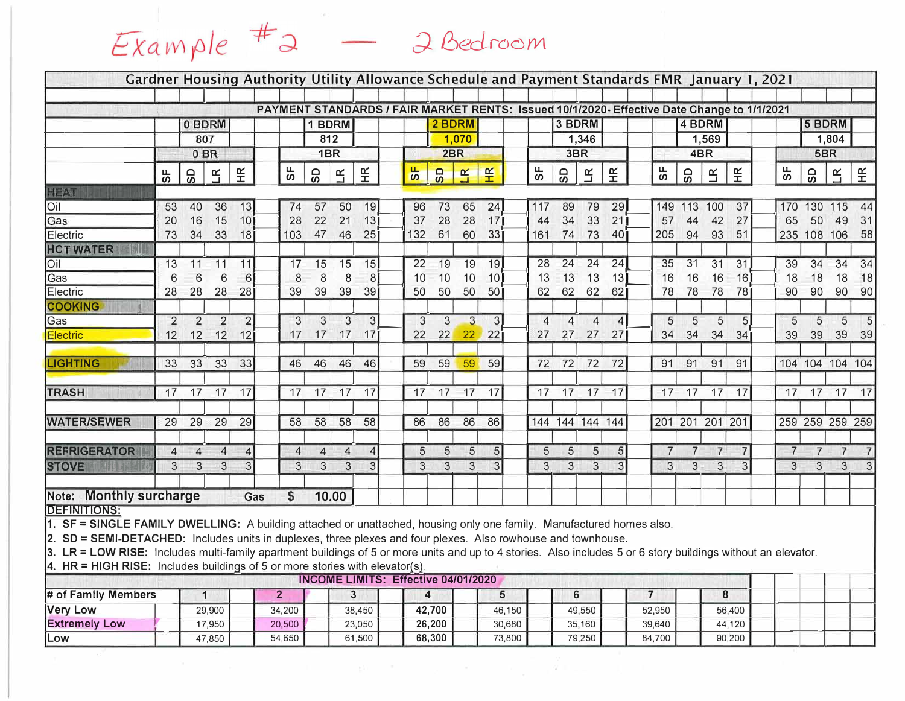|                                            |                      |                      |                      |                 | PAYMENT STANDARDS / FAIR MARKET RENTS: Issued 10/1/2020- Effective Date Change to 1/1/2021 |                |                 |                 |                         |         |         |                |                      |                      |                         |                      |                |                 |                |                          |                |                 |                |
|--------------------------------------------|----------------------|----------------------|----------------------|-----------------|--------------------------------------------------------------------------------------------|----------------|-----------------|-----------------|-------------------------|---------|---------|----------------|----------------------|----------------------|-------------------------|----------------------|----------------|-----------------|----------------|--------------------------|----------------|-----------------|----------------|
|                                            |                      | 0 BDRM               |                      |                 |                                                                                            |                | 1 BDRM          |                 |                         | 2 BDRM  |         |                |                      | 3 BDRM               |                         |                      |                | 4 BDRM          |                |                          |                | 5 BDRM          |                |
|                                            |                      | 807                  |                      |                 |                                                                                            |                | 812             |                 |                         |         | 1,070   |                |                      |                      | 1,346                   |                      |                |                 | 1,569          |                          |                |                 | 1,804          |
|                                            |                      |                      | 0BR                  |                 |                                                                                            |                | 1B <sub>R</sub> |                 |                         | 2BR     |         |                |                      |                      | 3BR                     |                      |                |                 | 4BR            |                          |                |                 | 5BR            |
|                                            | უვ                   | င္တ                  | $\mathbf{R}$         | £               | 55                                                                                         | 9S             | $\mathbf{R}$    | $\widetilde{E}$ | $\overline{\mathbf{s}}$ | GO      | B       | H <sub>R</sub> | 5F                   | ဥ                    | $\overline{\mathsf{R}}$ | $\widetilde{E}$      | 55             | <b>G</b>        | $\mathbf{R}$   | $\widetilde{\mathbf{H}}$ | 55             | င္တ             | $\mathbf{R}$   |
| <b>HEAT</b>                                |                      |                      |                      |                 |                                                                                            |                |                 |                 |                         |         |         |                |                      |                      |                         |                      |                |                 |                |                          |                |                 |                |
|                                            | 53                   | 40                   | 36                   | 13              | 74                                                                                         | 57             | 50              | 19              | 96                      | 73      | 65      | 24             | 117                  | 89                   | 79                      | 29                   | 149            | 113 100         |                | 37                       |                | 170 130 115     |                |
| Gas                                        | 20                   | 16                   | 15                   | 10 <sup>1</sup> | 28                                                                                         | 22             | 21              | 13              | 37                      | 28      | 28      | 17             | 44                   | 34                   | 33                      | 21                   | 57             | 44              | 42             | 27                       | 65             | 50              | 49             |
| Electric                                   | 73                   | 34                   | 33                   | 18              | 103                                                                                        | 47             | 46              | 25              | 132                     | 61      | 60      | 33             | 161                  | 74                   | 73                      | 40 <sup>1</sup>      | 205            | 94              | 93             | 51                       |                | 235 108 106     |                |
| <b>HOT WATER</b>                           |                      |                      |                      |                 |                                                                                            |                |                 |                 |                         |         |         |                |                      |                      |                         |                      |                |                 |                |                          |                |                 |                |
|                                            | 13                   | 11                   | 11                   | 11              | 17                                                                                         | 15             | 15              | 15              | 22                      | 19      | 19      | 19             | 28                   | 24                   | 24                      | 24                   | 35             | 31              | 31             | 31                       | 39             | 34              | 34             |
| Gas                                        | 6                    | 6                    | 6                    | 61              | 8                                                                                          | 8              | 8               | 8 <sup>0</sup>  | 10                      | 10      | 10      | 10             | 13                   | 13                   | 13                      | 13                   | 16             | 16              | 16             | 16                       | 18             | 18              | 18             |
| Electric                                   | 28                   | 28                   | 28                   | 28              | 39                                                                                         | 39             | 39              | 39              | 50                      | 50      | 50      | 50             | 62                   | 62                   | 62                      | 62                   | 78             | 78              | 78             | 78                       | 90             | 90              | 90             |
| COOKING<br>Gas                             |                      |                      |                      |                 |                                                                                            |                |                 |                 |                         |         |         |                |                      |                      |                         |                      |                |                 |                |                          |                |                 |                |
|                                            | $\overline{2}$<br>12 | $\overline{2}$<br>12 | $\overline{2}$<br>12 | $\overline{2}$  | 3                                                                                          | 3<br>17        | 3<br>17         | 3<br>17         | 3                       | 3<br>22 | 3<br>22 | 3              | $\overline{4}$<br>27 | $\overline{4}$<br>27 | $\overline{4}$<br>27    | $\overline{4}$<br>27 | 5<br>34        | 5               | 5<br>34        | 5 <sup>1</sup>           | 5<br>39        | 5<br>39         | 5<br>39        |
| Electric                                   |                      |                      |                      | 121             | 17                                                                                         |                |                 |                 | 22                      |         |         | 22             |                      |                      |                         |                      |                | 34              |                | 34                       |                |                 |                |
| <b>LIGHTING</b>                            | 33                   | 33                   | 33                   | 33              | 46                                                                                         | 46             | 46              | 46              | 59                      | 59      | 59      | 59             | 72                   | 72                   | 72                      | 72                   | 91             | 91              | 91             | 91                       |                | 104 104 104 104 |                |
|                                            |                      |                      |                      |                 |                                                                                            |                |                 |                 |                         |         |         |                |                      |                      |                         |                      |                |                 |                |                          |                |                 |                |
| <b>TRASH</b>                               | 17                   | 17                   | 17                   | 17              | 17                                                                                         | 17             | 17              | 17              | 17                      | 17      | 17      | 17             |                      | 17 17 17             |                         | 17                   | 17             | 17              | 17             | 17                       | 17             | 17              | 17             |
|                                            |                      |                      |                      |                 |                                                                                            |                |                 |                 |                         |         |         |                |                      |                      |                         |                      |                |                 |                |                          |                |                 |                |
| <b>WATER/SEWER</b>                         | 29                   |                      | 29 29                | 29              | 58                                                                                         | 58             | 58              | 58              | 86                      | 86      | 86      | 86             |                      |                      | 144 144 144 144         |                      |                | 201 201 201 201 |                |                          |                | 259 259 259 259 |                |
|                                            |                      |                      |                      |                 |                                                                                            |                |                 |                 |                         |         |         |                |                      |                      |                         |                      |                |                 |                |                          |                |                 |                |
| <b>REFRIGERATOR</b>                        | $\overline{4}$       | $\overline{4}$       | $\overline{4}$       | $\vert$         | 4                                                                                          | $\overline{4}$ | $\overline{4}$  | $\overline{4}$  | 5                       | 5       | 5       | 5              | 5                    | 5                    | 5                       | 5                    | $\overline{7}$ | $\overline{7}$  | $7\phantom{.}$ |                          | $\overline{7}$ | $\overline{7}$  | $\overline{7}$ |
| <b>STOVE</b><br><b>NITED REAL PROPERTY</b> | 3                    | 3                    | 3                    | $\overline{3}$  | 3                                                                                          | 3              | 3               | 3               | 3                       | 3       | 3       | 3              | 3                    | 3                    | 3                       | 3                    | 3              | 3               | 3              |                          | 3              | 3               | 3              |
|                                            |                      |                      |                      |                 |                                                                                            |                |                 |                 |                         |         |         |                |                      |                      |                         |                      |                |                 |                |                          |                |                 |                |
| Note: Monthly surcharge                    |                      |                      |                      | Gas             | \$                                                                                         |                | 10.00           |                 |                         |         |         |                |                      |                      |                         |                      |                |                 |                |                          |                |                 |                |

|                      |                         |        |        | <b>INCOME LIMITS: Effective 04/01/2020</b> |        |        |        |        |  |  |  |
|----------------------|-------------------------|--------|--------|--------------------------------------------|--------|--------|--------|--------|--|--|--|
| # of Family Members  |                         |        |        |                                            |        |        |        |        |  |  |  |
| <b>Very Low</b>      | 29,900                  | 34.200 | 38.450 | 42.700                                     | 46.150 | 49.550 | 52,950 | 56,400 |  |  |  |
| <b>Extremely Low</b> | $17.950$ $\blacksquare$ | 20,500 | 23.050 | 26,200                                     | 30.680 | 35.160 | 39.640 | 44.120 |  |  |  |
| ILow                 | 47.850                  | 54.650 | 61,500 | 68,300                                     | 73,800 | 79,250 | 84.700 | 90,200 |  |  |  |

provided by the control of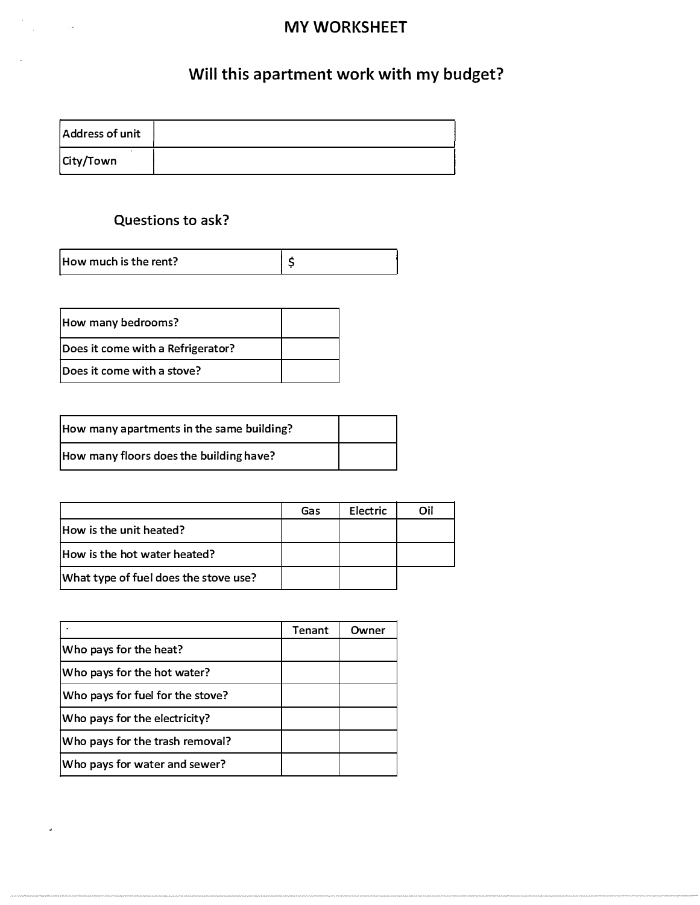## **MY WORKSHEET**

# **Will this apartment work with my budget?**

| Address of unit |  |
|-----------------|--|
| City/Town       |  |

# **Questions to ask?**

| How much is the rent? |  |
|-----------------------|--|
|-----------------------|--|

| How many bedrooms?                |  |
|-----------------------------------|--|
| Does it come with a Refrigerator? |  |
| Does it come with a stove?        |  |

| How many apartments in the same building? |  |
|-------------------------------------------|--|
| How many floors does the building have?   |  |

|                                       | Gas | Electric | Oil |
|---------------------------------------|-----|----------|-----|
| How is the unit heated?               |     |          |     |
| How is the hot water heated?          |     |          |     |
| What type of fuel does the stove use? |     |          |     |

|                                  | Tenant | Owner |
|----------------------------------|--------|-------|
| Who pays for the heat?           |        |       |
| Who pays for the hot water?      |        |       |
| Who pays for fuel for the stove? |        |       |
| Who pays for the electricity?    |        |       |
| Who pays for the trash removal?  |        |       |
| Who pays for water and sewer?    |        |       |